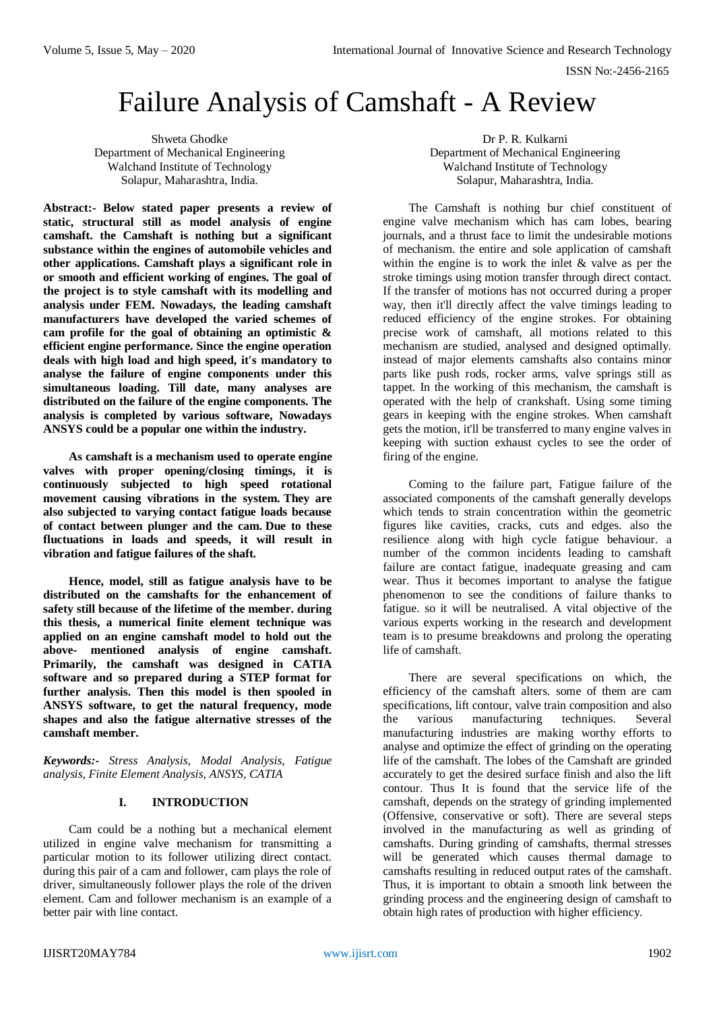# Failure Analysis of Camshaft - A Review

Shweta Ghodke Department of Mechanical Engineering Walchand Institute of Technology Solapur, Maharashtra, India.

**Abstract:- Below stated paper presents a review of static, structural still as model analysis of engine camshaft. the Camshaft is nothing but a significant substance within the engines of automobile vehicles and other applications. Camshaft plays a significant role in or smooth and efficient working of engines. The goal of the project is to style camshaft with its modelling and analysis under FEM. Nowadays, the leading camshaft manufacturers have developed the varied schemes of cam profile for the goal of obtaining an optimistic & efficient engine performance. Since the engine operation deals with high load and high speed, it's mandatory to analyse the failure of engine components under this simultaneous loading. Till date, many analyses are distributed on the failure of the engine components. The analysis is completed by various software, Nowadays ANSYS could be a popular one within the industry.**

**As camshaft is a mechanism used to operate engine valves with proper opening/closing timings, it is continuously subjected to high speed rotational movement causing vibrations in the system. They are also subjected to varying contact fatigue loads because of contact between plunger and the cam. Due to these fluctuations in loads and speeds, it will result in vibration and fatigue failures of the shaft.**

**Hence, model, still as fatigue analysis have to be distributed on the camshafts for the enhancement of safety still because of the lifetime of the member. during this thesis, a numerical finite element technique was applied on an engine camshaft model to hold out the above- mentioned analysis of engine camshaft. Primarily, the camshaft was designed in CATIA software and so prepared during a STEP format for further analysis. Then this model is then spooled in ANSYS software, to get the natural frequency, mode shapes and also the fatigue alternative stresses of the camshaft member.**

*Keywords:- Stress Analysis, Modal Analysis, Fatigue analysis, Finite Element Analysis, ANSYS, CATIA*

## **I. INTRODUCTION**

Cam could be a nothing but a mechanical element utilized in engine valve mechanism for transmitting a particular motion to its follower utilizing direct contact. during this pair of a cam and follower, cam plays the role of driver, simultaneously follower plays the role of the driven element. Cam and follower mechanism is an example of a better pair with line contact.

Dr P. R. Kulkarni Department of Mechanical Engineering Walchand Institute of Technology Solapur, Maharashtra, India.

The Camshaft is nothing bur chief constituent of engine valve mechanism which has cam lobes, bearing journals, and a thrust face to limit the undesirable motions of mechanism. the entire and sole application of camshaft within the engine is to work the inlet & valve as per the stroke timings using motion transfer through direct contact. If the transfer of motions has not occurred during a proper way, then it'll directly affect the valve timings leading to reduced efficiency of the engine strokes. For obtaining precise work of camshaft, all motions related to this mechanism are studied, analysed and designed optimally. instead of major elements camshafts also contains minor parts like push rods, rocker arms, valve springs still as tappet. In the working of this mechanism, the camshaft is operated with the help of crankshaft. Using some timing gears in keeping with the engine strokes. When camshaft gets the motion, it'll be transferred to many engine valves in keeping with suction exhaust cycles to see the order of firing of the engine.

Coming to the failure part, Fatigue failure of the associated components of the camshaft generally develops which tends to strain concentration within the geometric figures like cavities, cracks, cuts and edges. also the resilience along with high cycle fatigue behaviour. a number of the common incidents leading to camshaft failure are contact fatigue, inadequate greasing and cam wear. Thus it becomes important to analyse the fatigue phenomenon to see the conditions of failure thanks to fatigue. so it will be neutralised. A vital objective of the various experts working in the research and development team is to presume breakdowns and prolong the operating life of camshaft.

There are several specifications on which, the efficiency of the camshaft alters. some of them are cam specifications, lift contour, valve train composition and also the various manufacturing techniques. Several manufacturing industries are making worthy efforts to analyse and optimize the effect of grinding on the operating life of the camshaft. The lobes of the Camshaft are grinded accurately to get the desired surface finish and also the lift contour. Thus It is found that the service life of the camshaft, depends on the strategy of grinding implemented (Offensive, conservative or soft). There are several steps involved in the manufacturing as well as grinding of camshafts. During grinding of camshafts, thermal stresses will be generated which causes thermal damage to camshafts resulting in reduced output rates of the camshaft. Thus, it is important to obtain a smooth link between the grinding process and the engineering design of camshaft to obtain high rates of production with higher efficiency.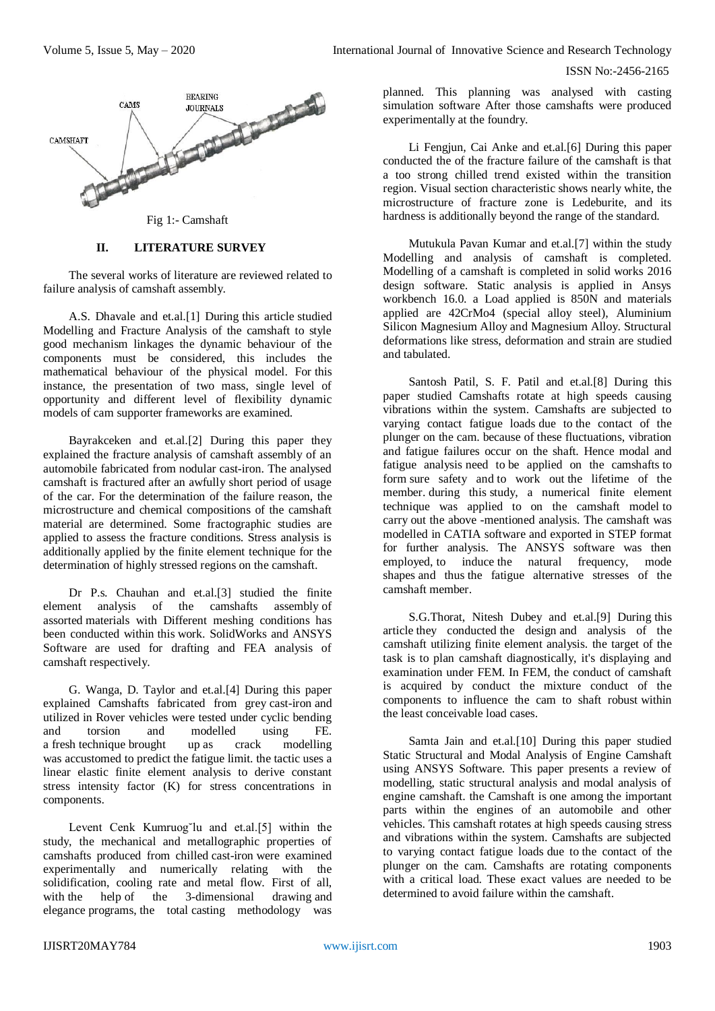ISSN No:-2456-2165



Fig 1:- Camshaft

## **II. LITERATURE SURVEY**

The several works of literature are reviewed related to failure analysis of camshaft assembly.

A.S. Dhavale and et.al.[1] During this article studied Modelling and Fracture Analysis of the camshaft to style good mechanism linkages the dynamic behaviour of the components must be considered, this includes the mathematical behaviour of the physical model. For this instance, the presentation of two mass, single level of opportunity and different level of flexibility dynamic models of cam supporter frameworks are examined.

Bayrakceken and et.al.[2] During this paper they explained the fracture analysis of camshaft assembly of an automobile fabricated from nodular cast-iron. The analysed camshaft is fractured after an awfully short period of usage of the car. For the determination of the failure reason, the microstructure and chemical compositions of the camshaft material are determined. Some fractographic studies are applied to assess the fracture conditions. Stress analysis is additionally applied by the finite element technique for the determination of highly stressed regions on the camshaft.

Dr P.s. Chauhan and et.al.<sup>[3]</sup> studied the finite element analysis of the camshafts assembly of assorted materials with Different meshing conditions has been conducted within this work. SolidWorks and ANSYS Software are used for drafting and FEA analysis of camshaft respectively.

G. Wanga, D. Taylor and et.al.[4] During this paper explained Camshafts fabricated from grey cast-iron and utilized in Rover vehicles were tested under cyclic bending and torsion and modelled using FE. a fresh technique brought up as crack modelling was accustomed to predict the fatigue limit. the tactic uses a linear elastic finite element analysis to derive constant stress intensity factor (K) for stress concentrations in components.

Levent Cenk Kumruog˘lu and et.al.[5] within the study, the mechanical and metallographic properties of camshafts produced from chilled cast-iron were examined experimentally and numerically relating with the solidification, cooling rate and metal flow. First of all, with the help of the 3-dimensional drawing and elegance programs, the total casting methodology was

planned. This planning was analysed with casting simulation software After those camshafts were produced experimentally at the foundry.

Li Fengjun, Cai Anke and et.al.[6] During this paper conducted the of the fracture failure of the camshaft is that a too strong chilled trend existed within the transition region. Visual section characteristic shows nearly white, the microstructure of fracture zone is Ledeburite, and its hardness is additionally beyond the range of the standard.

Mutukula Pavan Kumar and et.al.[7] within the study Modelling and analysis of camshaft is completed. Modelling of a camshaft is completed in solid works 2016 design software. Static analysis is applied in Ansys workbench 16.0. a Load applied is 850N and materials applied are 42CrMo4 (special alloy steel), Aluminium Silicon Magnesium Alloy and Magnesium Alloy. Structural deformations like stress, deformation and strain are studied and tabulated.

Santosh Patil, S. F. Patil and et.al.[8] During this paper studied Camshafts rotate at high speeds causing vibrations within the system. Camshafts are subjected to varying contact fatigue loads due to the contact of the plunger on the cam. because of these fluctuations, vibration and fatigue failures occur on the shaft. Hence modal and fatigue analysis need to be applied on the camshafts to form sure safety and to work out the lifetime of the member. during this study, a numerical finite element technique was applied to on the camshaft model to carry out the above -mentioned analysis. The camshaft was modelled in CATIA software and exported in STEP format for further analysis. The ANSYS software was then employed, to induce the natural frequency, mode shapes and thus the fatigue alternative stresses of the camshaft member.

S.G.Thorat, Nitesh Dubey and et.al.[9] During this article they conducted the design and analysis of the camshaft utilizing finite element analysis. the target of the task is to plan camshaft diagnostically, it's displaying and examination under FEM. In FEM, the conduct of camshaft is acquired by conduct the mixture conduct of the components to influence the cam to shaft robust within the least conceivable load cases.

Samta Jain and et.al.[10] During this paper studied Static Structural and Modal Analysis of Engine Camshaft using ANSYS Software. This paper presents a review of modelling, static structural analysis and modal analysis of engine camshaft. the Camshaft is one among the important parts within the engines of an automobile and other vehicles. This camshaft rotates at high speeds causing stress and vibrations within the system. Camshafts are subjected to varying contact fatigue loads due to the contact of the plunger on the cam. Camshafts are rotating components with a critical load. These exact values are needed to be determined to avoid failure within the camshaft.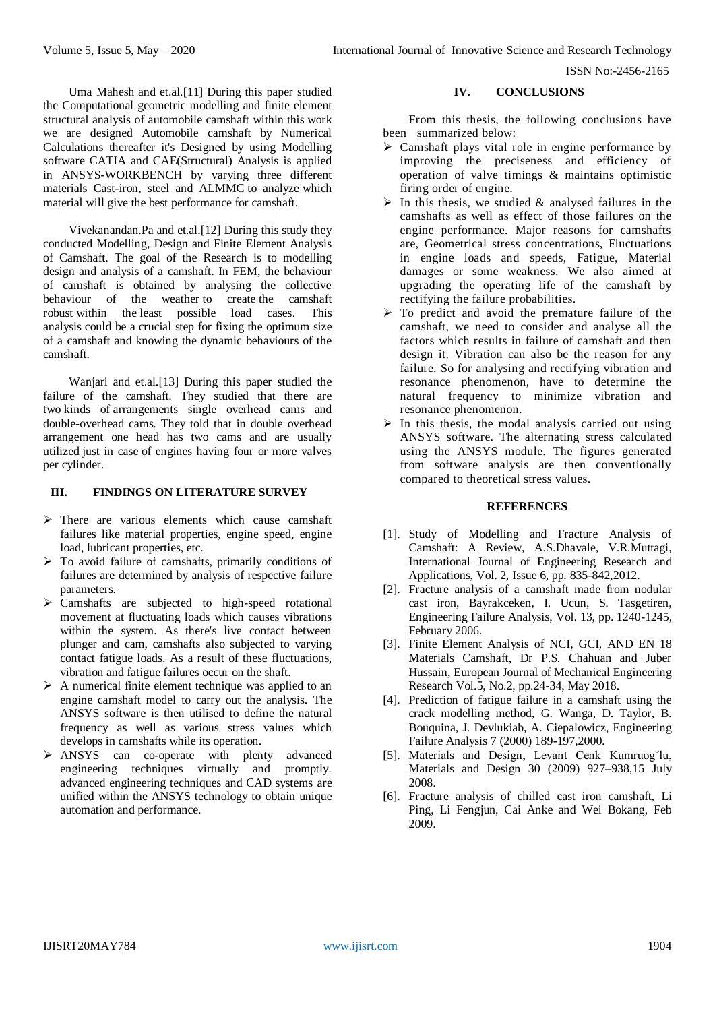ISSN No:-2456-2165

Uma Mahesh and et.al.[11] During this paper studied the Computational geometric modelling and finite element structural analysis of automobile camshaft within this work we are designed Automobile camshaft by Numerical Calculations thereafter it's Designed by using Modelling software CATIA and CAE(Structural) Analysis is applied in ANSYS-WORKBENCH by varying three different materials Cast-iron, steel and ALMMC to analyze which material will give the best performance for camshaft.

Vivekanandan.Pa and et.al.[12] During this study they conducted Modelling, Design and Finite Element Analysis of Camshaft. The goal of the Research is to modelling design and analysis of a camshaft. In FEM, the behaviour of camshaft is obtained by analysing the collective behaviour of the weather to create the camshaft robust within the least possible load cases. This analysis could be a crucial step for fixing the optimum size of a camshaft and knowing the dynamic behaviours of the camshaft.

Wanjari and et.al.[13] During this paper studied the failure of the camshaft. They studied that there are two kinds of arrangements single overhead cams and double-overhead cams. They told that in double overhead arrangement one head has two cams and are usually utilized just in case of engines having four or more valves per cylinder.

### **III. FINDINGS ON LITERATURE SURVEY**

- $\triangleright$  There are various elements which cause camshaft failures like material properties, engine speed, engine load, lubricant properties, etc.
- $\triangleright$  To avoid failure of camshafts, primarily conditions of failures are determined by analysis of respective failure parameters.
- $\triangleright$  Camshafts are subjected to high-speed rotational movement at fluctuating loads which causes vibrations within the system. As there's live contact between plunger and cam, camshafts also subjected to varying contact fatigue loads. As a result of these fluctuations, vibration and fatigue failures occur on the shaft.
- $\triangleright$  A numerical finite element technique was applied to an engine camshaft model to carry out the analysis. The ANSYS software is then utilised to define the natural frequency as well as various stress values which develops in camshafts while its operation.
- ANSYS can co-operate with plenty advanced engineering techniques virtually and promptly. advanced engineering techniques and CAD systems are unified within the ANSYS technology to obtain unique automation and performance.

#### **IV. CONCLUSIONS**

From this thesis, the following conclusions have been summarized below:

- Camshaft plays vital role in engine performance by improving the preciseness and efficiency of operation of valve timings & maintains optimistic firing order of engine.
- $\triangleright$  In this thesis, we studied & analysed failures in the camshafts as well as effect of those failures on the engine performance. Major reasons for camshafts are, Geometrical stress concentrations, Fluctuations in engine loads and speeds, Fatigue, Material damages or some weakness. We also aimed at upgrading the operating life of the camshaft by rectifying the failure probabilities.
- $\triangleright$  To predict and avoid the premature failure of the camshaft, we need to consider and analyse all the factors which results in failure of camshaft and then design it. Vibration can also be the reason for any failure. So for analysing and rectifying vibration and resonance phenomenon, have to determine the natural frequency to minimize vibration and resonance phenomenon.
- $\triangleright$  In this thesis, the modal analysis carried out using ANSYS software. The alternating stress calculated using the ANSYS module. The figures generated from software analysis are then conventionally compared to theoretical stress values.

#### **REFERENCES**

- [1]. Study of Modelling and Fracture Analysis of Camshaft: A Review, A.S.Dhavale, V.R.Muttagi, International Journal of Engineering Research and Applications, Vol. 2, Issue 6, pp. 835-842,2012.
- [2]. Fracture analysis of a camshaft made from nodular cast iron, Bayrakceken, I. Ucun, S. Tasgetiren, Engineering Failure Analysis, Vol. 13, pp. 1240-1245, February 2006.
- [3]. Finite Element Analysis of NCI, GCI, AND EN 18 Materials Camshaft, Dr P.S. Chahuan and Juber Hussain, European Journal of Mechanical Engineering Research Vol.5, No.2, pp.24-34, May 2018.
- [4]. Prediction of fatigue failure in a camshaft using the crack modelling method, G. Wanga, D. Taylor, B. Bouquina, J. Devlukiab, A. Ciepalowicz, Engineering Failure Analysis 7 (2000) 189-197,2000.
- [5]. Materials and Design, Levant Cenk Kumruog˘lu, Materials and Design 30 (2009) 927–938,15 July 2008.
- [6]. Fracture analysis of chilled cast iron camshaft, Li Ping, Li Fengjun, Cai Anke and Wei Bokang, Feb 2009.